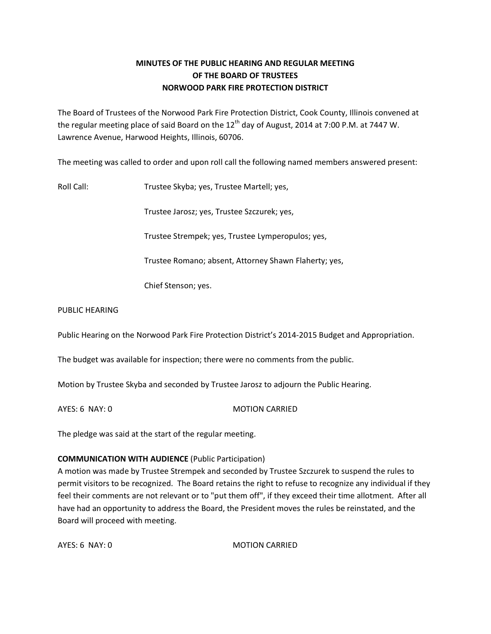## **MINUTES OF THE PUBLIC HEARING AND REGULAR MEETING OF THE BOARD OF TRUSTEES NORWOOD PARK FIRE PROTECTION DISTRICT**

The Board of Trustees of the Norwood Park Fire Protection District, Cook County, Illinois convened at the regular meeting place of said Board on the  $12<sup>th</sup>$  day of August, 2014 at 7:00 P.M. at 7447 W. Lawrence Avenue, Harwood Heights, Illinois, 60706.

The meeting was called to order and upon roll call the following named members answered present:

Roll Call: Trustee Skyba; yes, Trustee Martell; yes,

Trustee Jarosz; yes, Trustee Szczurek; yes,

Trustee Strempek; yes, Trustee Lymperopulos; yes,

Trustee Romano; absent, Attorney Shawn Flaherty; yes,

Chief Stenson; yes.

#### PUBLIC HEARING

Public Hearing on the Norwood Park Fire Protection District's 2014-2015 Budget and Appropriation.

The budget was available for inspection; there were no comments from the public.

Motion by Trustee Skyba and seconded by Trustee Jarosz to adjourn the Public Hearing.

AYES: 6 NAY: 0 MOTION CARRIED

The pledge was said at the start of the regular meeting.

## **COMMUNICATION WITH AUDIENCE** (Public Participation)

A motion was made by Trustee Strempek and seconded by Trustee Szczurek to suspend the rules to permit visitors to be recognized. The Board retains the right to refuse to recognize any individual if they feel their comments are not relevant or to "put them off", if they exceed their time allotment. After all have had an opportunity to address the Board, the President moves the rules be reinstated, and the Board will proceed with meeting.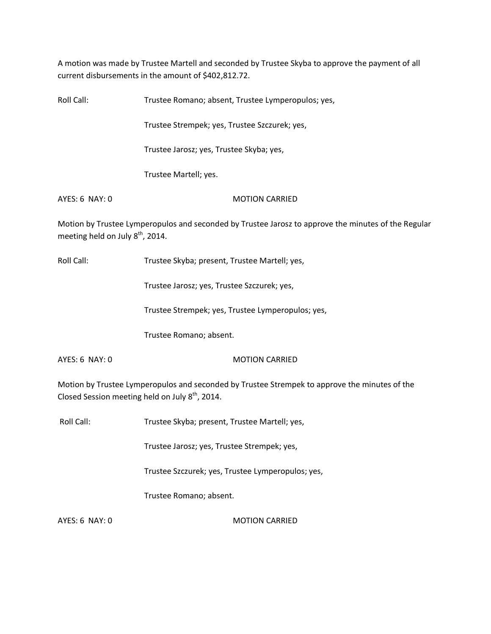A motion was made by Trustee Martell and seconded by Trustee Skyba to approve the payment of all current disbursements in the amount of \$402,812.72.

Roll Call: Trustee Romano; absent, Trustee Lymperopulos; yes, Trustee Strempek; yes, Trustee Szczurek; yes, Trustee Jarosz; yes, Trustee Skyba; yes, Trustee Martell; yes. AYES: 6 NAY: 0 MOTION CARRIED Motion by Trustee Lymperopulos and seconded by Trustee Jarosz to approve the minutes of the Regular meeting held on July  $8<sup>th</sup>$ , 2014.

Roll Call: Trustee Skyba; present, Trustee Martell; yes,

Trustee Jarosz; yes, Trustee Szczurek; yes,

Trustee Strempek; yes, Trustee Lymperopulos; yes,

Trustee Romano; absent.

AYES: 6 NAY: 0 MOTION CARRIED

Motion by Trustee Lymperopulos and seconded by Trustee Strempek to approve the minutes of the Closed Session meeting held on July  $8<sup>th</sup>$ , 2014.

Roll Call: Trustee Skyba; present, Trustee Martell; yes,

Trustee Jarosz; yes, Trustee Strempek; yes,

Trustee Szczurek; yes, Trustee Lymperopulos; yes,

Trustee Romano; absent.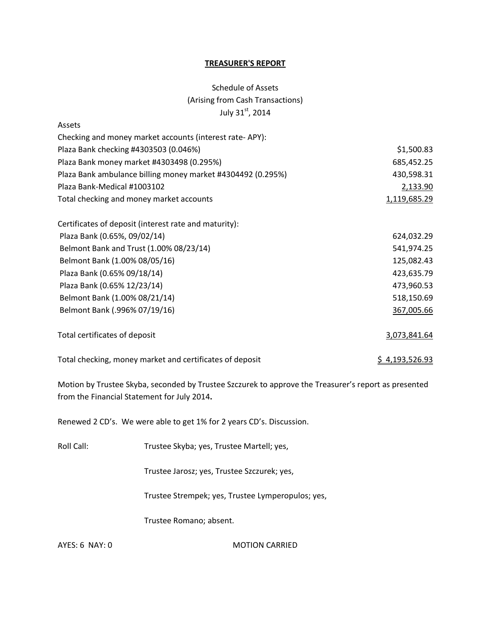#### **TREASURER'S REPORT**

# Schedule of Assets (Arising from Cash Transactions) July 31st, 2014

| Assets                                                      |                       |
|-------------------------------------------------------------|-----------------------|
| Checking and money market accounts (interest rate-APY):     |                       |
| Plaza Bank checking #4303503 (0.046%)                       | \$1,500.83            |
| Plaza Bank money market #4303498 (0.295%)                   | 685,452.25            |
| Plaza Bank ambulance billing money market #4304492 (0.295%) | 430,598.31            |
| Plaza Bank-Medical #1003102                                 | 2,133.90              |
| Total checking and money market accounts                    | 1,119,685.29          |
| Certificates of deposit (interest rate and maturity):       |                       |
| Plaza Bank (0.65%, 09/02/14)                                | 624,032.29            |
| Belmont Bank and Trust (1.00% 08/23/14)                     | 541,974.25            |
| Belmont Bank (1.00% 08/05/16)                               | 125,082.43            |
| Plaza Bank (0.65% 09/18/14)                                 | 423,635.79            |
| Plaza Bank (0.65% 12/23/14)                                 | 473,960.53            |
| Belmont Bank (1.00% 08/21/14)                               | 518,150.69            |
| Belmont Bank (.996% 07/19/16)                               | 367,005.66            |
| Total certificates of deposit                               | 3,073,841.64          |
| Total checking, money market and certificates of deposit    | <u>\$4,193,526.93</u> |

Motion by Trustee Skyba, seconded by Trustee Szczurek to approve the Treasurer's report as presented from the Financial Statement for July 2014**.** 

Renewed 2 CD's. We were able to get 1% for 2 years CD's. Discussion.

| Roll Call: | Trustee Skyba; yes, Trustee Martell; yes, |
|------------|-------------------------------------------|
|------------|-------------------------------------------|

Trustee Jarosz; yes, Trustee Szczurek; yes,

Trustee Strempek; yes, Trustee Lymperopulos; yes,

Trustee Romano; absent.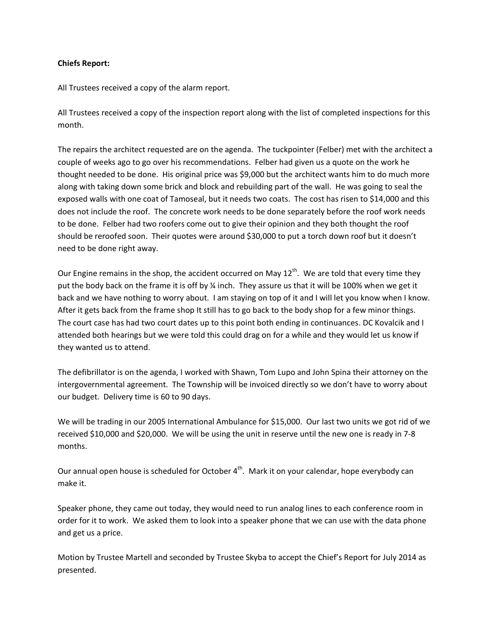## **Chiefs Report:**

All Trustees received a copy of the alarm report.

All Trustees received a copy of the inspection report along with the list of completed inspections for this month.

The repairs the architect requested are on the agenda. The tuckpointer (Felber) met with the architect a couple of weeks ago to go over his recommendations. Felber had given us a quote on the work he thought needed to be done. His original price was \$9,000 but the architect wants him to do much more along with taking down some brick and block and rebuilding part of the wall. He was going to seal the exposed walls with one coat of Tamoseal, but it needs two coats. The cost has risen to \$14,000 and this does not include the roof. The concrete work needs to be done separately before the roof work needs to be done. Felber had two roofers come out to give their opinion and they both thought the roof should be reroofed soon. Their quotes were around \$30,000 to put a torch down roof but it doesn't need to be done right away.

Our Engine remains in the shop, the accident occurred on May  $12<sup>th</sup>$ . We are told that every time they put the body back on the frame it is off by ¼ inch. They assure us that it will be 100% when we get it back and we have nothing to worry about. I am staying on top of it and I will let you know when I know. After it gets back from the frame shop It still has to go back to the body shop for a few minor things. The court case has had two court dates up to this point both ending in continuances. DC Kovalcik and I attended both hearings but we were told this could drag on for a while and they would let us know if they wanted us to attend.

The defibrillator is on the agenda, I worked with Shawn, Tom Lupo and John Spina their attorney on the intergovernmental agreement. The Township will be invoiced directly so we don't have to worry about our budget. Delivery time is 60 to 90 days.

We will be trading in our 2005 International Ambulance for \$15,000. Our last two units we got rid of we received \$10,000 and \$20,000. We will be using the unit in reserve until the new one is ready in 7-8 months.

Our annual open house is scheduled for October  $4<sup>th</sup>$ . Mark it on your calendar, hope everybody can make it.

Speaker phone, they came out today, they would need to run analog lines to each conference room in order for it to work. We asked them to look into a speaker phone that we can use with the data phone and get us a price.

Motion by Trustee Martell and seconded by Trustee Skyba to accept the Chief's Report for July 2014 as presented.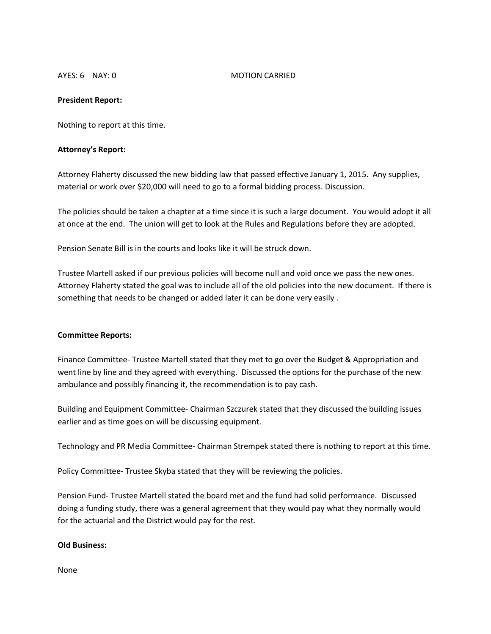#### AYES: 6 NAY: 0 MOTION CARRIED

#### **President Report:**

Nothing to report at this time.

#### **Attorney's Report:**

Attorney Flaherty discussed the new bidding law that passed effective January 1, 2015. Any supplies, material or work over \$20,000 will need to go to a formal bidding process. Discussion.

The policies should be taken a chapter at a time since it is such a large document. You would adopt it all at once at the end. The union will get to look at the Rules and Regulations before they are adopted.

Pension Senate Bill is in the courts and looks like it will be struck down.

Trustee Martell asked if our previous policies will become null and void once we pass the new ones. Attorney Flaherty stated the goal was to include all of the old policies into the new document. If there is something that needs to be changed or added later it can be done very easily .

#### **Committee Reports:**

Finance Committee- Trustee Martell stated that they met to go over the Budget & Appropriation and went line by line and they agreed with everything. Discussed the options for the purchase of the new ambulance and possibly financing it, the recommendation is to pay cash.

Building and Equipment Committee- Chairman Szczurek stated that they discussed the building issues earlier and as time goes on will be discussing equipment.

Technology and PR Media Committee- Chairman Strempek stated there is nothing to report at this time.

Policy Committee- Trustee Skyba stated that they will be reviewing the policies.

Pension Fund- Trustee Martell stated the board met and the fund had solid performance. Discussed doing a funding study, there was a general agreement that they would pay what they normally would for the actuarial and the District would pay for the rest.

#### **Old Business:**

None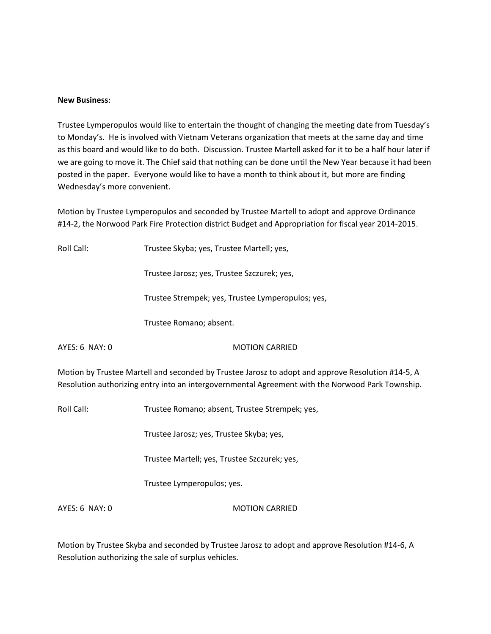#### **New Business**:

Trustee Lymperopulos would like to entertain the thought of changing the meeting date from Tuesday's to Monday's. He is involved with Vietnam Veterans organization that meets at the same day and time as this board and would like to do both. Discussion. Trustee Martell asked for it to be a half hour later if we are going to move it. The Chief said that nothing can be done until the New Year because it had been posted in the paper. Everyone would like to have a month to think about it, but more are finding Wednesday's more convenient.

Motion by Trustee Lymperopulos and seconded by Trustee Martell to adopt and approve Ordinance #14-2, the Norwood Park Fire Protection district Budget and Appropriation for fiscal year 2014-2015.

Roll Call: Trustee Skyba; yes, Trustee Martell; yes,

Trustee Jarosz; yes, Trustee Szczurek; yes,

Trustee Strempek; yes, Trustee Lymperopulos; yes,

Trustee Romano; absent.

#### AYES: 6 NAY: 0 MOTION CARRIED

Motion by Trustee Martell and seconded by Trustee Jarosz to adopt and approve Resolution #14-5, A Resolution authorizing entry into an intergovernmental Agreement with the Norwood Park Township.

Roll Call: Trustee Romano; absent, Trustee Strempek; yes,

Trustee Jarosz; yes, Trustee Skyba; yes,

Trustee Martell; yes, Trustee Szczurek; yes,

Trustee Lymperopulos; yes.

AYES: 6 NAY: 0 MOTION CARRIED

Motion by Trustee Skyba and seconded by Trustee Jarosz to adopt and approve Resolution #14-6, A Resolution authorizing the sale of surplus vehicles.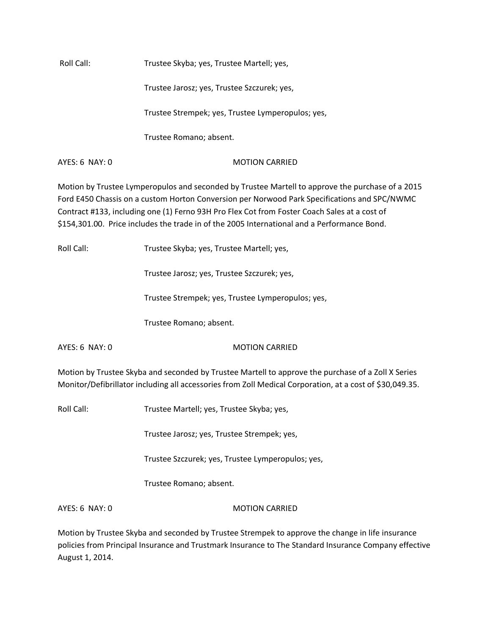Roll Call: Trustee Skyba; yes, Trustee Martell; yes,

Trustee Jarosz; yes, Trustee Szczurek; yes,

Trustee Strempek; yes, Trustee Lymperopulos; yes,

Trustee Romano; absent.

AYES: 6 NAY: 0 MOTION CARRIED

Motion by Trustee Lymperopulos and seconded by Trustee Martell to approve the purchase of a 2015 Ford E450 Chassis on a custom Horton Conversion per Norwood Park Specifications and SPC/NWMC Contract #133, including one (1) Ferno 93H Pro Flex Cot from Foster Coach Sales at a cost of \$154,301.00. Price includes the trade in of the 2005 International and a Performance Bond.

Roll Call: Trustee Skyba; yes, Trustee Martell; yes,

Trustee Jarosz; yes, Trustee Szczurek; yes,

Trustee Strempek; yes, Trustee Lymperopulos; yes,

Trustee Romano; absent.

## AYES: 6 NAY: 0 MOTION CARRIED

Motion by Trustee Skyba and seconded by Trustee Martell to approve the purchase of a Zoll X Series Monitor/Defibrillator including all accessories from Zoll Medical Corporation, at a cost of \$30,049.35.

Roll Call: Trustee Martell; yes, Trustee Skyba; yes,

Trustee Jarosz; yes, Trustee Strempek; yes,

Trustee Szczurek; yes, Trustee Lymperopulos; yes,

Trustee Romano; absent.

AYES: 6 NAY: 0 MOTION CARRIED

Motion by Trustee Skyba and seconded by Trustee Strempek to approve the change in life insurance policies from Principal Insurance and Trustmark Insurance to The Standard Insurance Company effective August 1, 2014.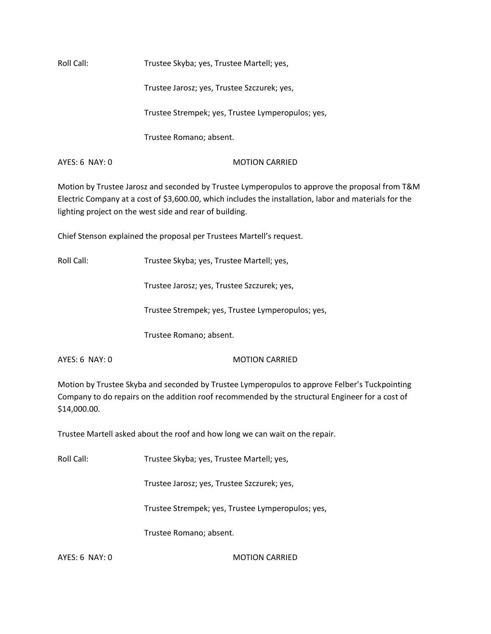Roll Call: Trustee Skyba; yes, Trustee Martell; yes,

Trustee Jarosz; yes, Trustee Szczurek; yes,

Trustee Strempek; yes, Trustee Lymperopulos; yes,

Trustee Romano; absent.

AYES: 6 NAY: 0 MOTION CARRIED

Motion by Trustee Jarosz and seconded by Trustee Lymperopulos to approve the proposal from T&M Electric Company at a cost of \$3,600.00, which includes the installation, labor and materials for the lighting project on the west side and rear of building.

Chief Stenson explained the proposal per Trustees Martell's request.

Roll Call: Trustee Skyba; yes, Trustee Martell; yes,

Trustee Jarosz; yes, Trustee Szczurek; yes,

Trustee Strempek; yes, Trustee Lymperopulos; yes,

Trustee Romano; absent.

AYES: 6 NAY: 0 MOTION CARRIED

Motion by Trustee Skyba and seconded by Trustee Lymperopulos to approve Felber's Tuckpointing Company to do repairs on the addition roof recommended by the structural Engineer for a cost of \$14,000.00.

Trustee Martell asked about the roof and how long we can wait on the repair.

Roll Call: Trustee Skyba; yes, Trustee Martell; yes,

Trustee Jarosz; yes, Trustee Szczurek; yes,

Trustee Strempek; yes, Trustee Lymperopulos; yes,

Trustee Romano; absent.